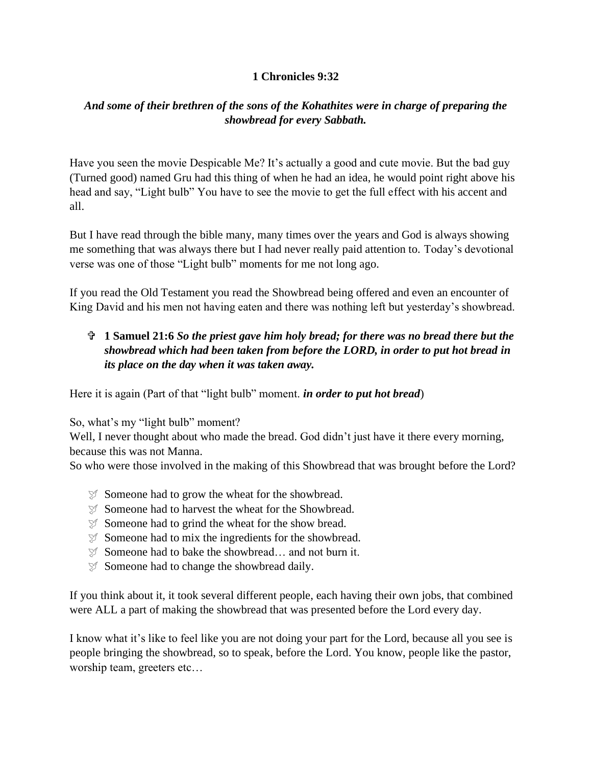## **1 Chronicles 9:32**

## *And some of their brethren of the sons of the Kohathites were in charge of preparing the showbread for every Sabbath.*

Have you seen the movie Despicable Me? It's actually a good and cute movie. But the bad guy (Turned good) named Gru had this thing of when he had an idea, he would point right above his head and say, "Light bulb" You have to see the movie to get the full effect with his accent and all.

But I have read through the bible many, many times over the years and God is always showing me something that was always there but I had never really paid attention to. Today's devotional verse was one of those "Light bulb" moments for me not long ago.

If you read the Old Testament you read the Showbread being offered and even an encounter of King David and his men not having eaten and there was nothing left but yesterday's showbread.

## **1 Samuel 21:6** *So the priest gave him holy bread; for there was no bread there but the showbread which had been taken from before the LORD, in order to put hot bread in its place on the day when it was taken away.*

Here it is again (Part of that "light bulb" moment. *in order to put hot bread*)

So, what's my "light bulb" moment?

Well, I never thought about who made the bread. God didn't just have it there every morning, because this was not Manna.

So who were those involved in the making of this Showbread that was brought before the Lord?

- Someone had to grow the wheat for the showbread.
- **Someone had to harvest the wheat for the Showbread.**
- $\mathcal{F}$  Someone had to grind the wheat for the show bread.
- $\mathcal{F}$  Someone had to mix the ingredients for the showbread.
- $\mathcal{I}$  Someone had to bake the showbread... and not burn it.
- $\mathcal{I}$  Someone had to change the showbread daily.

If you think about it, it took several different people, each having their own jobs, that combined were ALL a part of making the showbread that was presented before the Lord every day.

I know what it's like to feel like you are not doing your part for the Lord, because all you see is people bringing the showbread, so to speak, before the Lord. You know, people like the pastor, worship team, greeters etc…